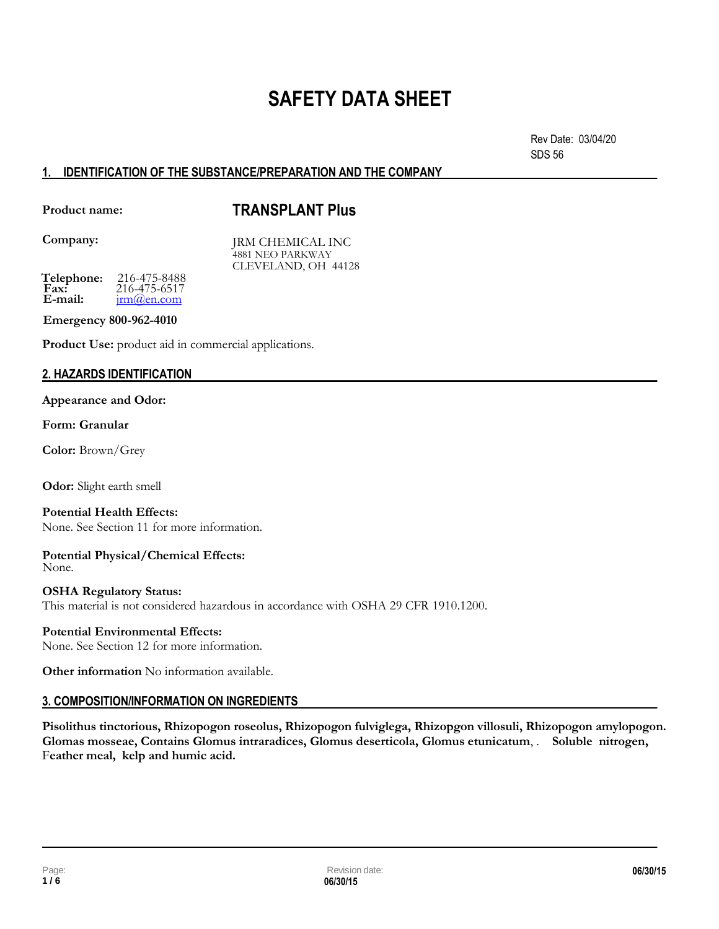## **SAFETY DATA SHEET**

Rev Date: 03/04/20 SDS 56

## **1. IDENTIFICATION OF THE SUBSTANCE/PREPARATION AND THE COMPANY**

**Product name:** 

## **TRANSPLANT Plus**

**Company:**

JRM CHEMICAL INC 4881 NEO PARKWAY CLEVELAND, OH 44128

**Telephone:** 216-475-8488<br>**Fax:** 216-475-6517 **Fax:** 216-475-6517<br>**E-mail:**  $\frac{\text{irm}(\partial \text{en.com})}{\text{irm}(\partial \text{en.com})}$ **irm**(*a*)en.com

**Emergency 800-962-4010** 

**Product Use:** product aid in commercial applications.

## **2. HAZARDS IDENTIFICATION**

### **Appearance and Odor:**

## **Form: Granular**

**Color:** Brown/Grey

**Odor:** Slight earth smell

**Potential Health Effects:** None. See Section 11 for more information.

**Potential Physical/Chemical Effects:** None.

**OSHA Regulatory Status:** This material is not considered hazardous in accordance with OSHA 29 CFR 1910.1200.

## **Potential Environmental Effects:**

None. See Section 12 for more information.

**Other information** No information available.

## **3. COMPOSITION/INFORMATION ON INGREDIENTS**

**Pisolithus tinctorious, Rhizopogon roseolus, Rhizopogon fulviglega, Rhizopgon villosuli, Rhizopogon amylopogon. Glomas mosseae, Contains Glomus intraradices, Glomus deserticola, Glomus etunicatum**, . **Soluble nitrogen,** F**eather meal, kelp and humic acid.**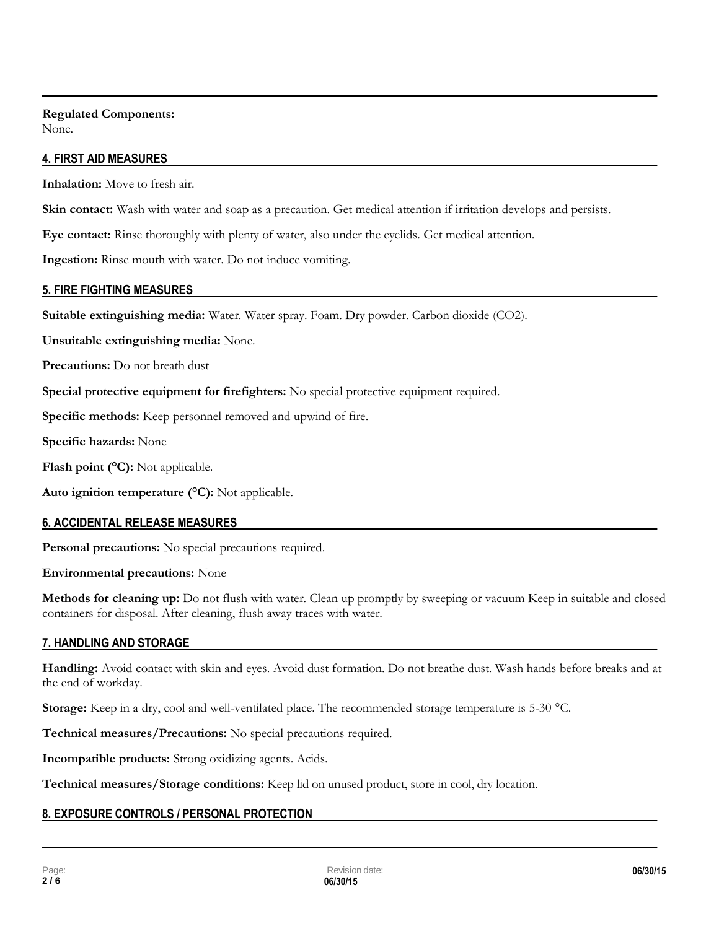## **Regulated Components:** None.

## **4. FIRST AID MEASURES**

**Inhalation:** Move to fresh air.

**Skin contact:** Wash with water and soap as a precaution. Get medical attention if irritation develops and persists.

**Eye contact:** Rinse thoroughly with plenty of water, also under the eyelids. Get medical attention.

**Ingestion:** Rinse mouth with water. Do not induce vomiting.

## **5. FIRE FIGHTING MEASURES**

**Suitable extinguishing media:** Water. Water spray. Foam. Dry powder. Carbon dioxide (CO2).

**Unsuitable extinguishing media:** None.

**Precautions:** Do not breath dust

**Special protective equipment for firefighters:** No special protective equipment required.

**Specific methods:** Keep personnel removed and upwind of fire.

**Specific hazards:** None

**Flash point (°C):** Not applicable.

**Auto ignition temperature (°C):** Not applicable.

## **6. ACCIDENTAL RELEASE MEASURES**

**Personal precautions:** No special precautions required.

**Environmental precautions:** None

**Methods for cleaning up:** Do not flush with water. Clean up promptly by sweeping or vacuum Keep in suitable and closed containers for disposal. After cleaning, flush away traces with water.

## **7. HANDLING AND STORAGE**

**Handling:** Avoid contact with skin and eyes. Avoid dust formation. Do not breathe dust. Wash hands before breaks and at the end of workday.

**Storage:** Keep in a dry, cool and well-ventilated place. The recommended storage temperature is 5-30 °C.

**Technical measures/Precautions:** No special precautions required.

**Incompatible products:** Strong oxidizing agents. Acids.

**Technical measures/Storage conditions:** Keep lid on unused product, store in cool, dry location.

## **8. EXPOSURE CONTROLS / PERSONAL PROTECTION**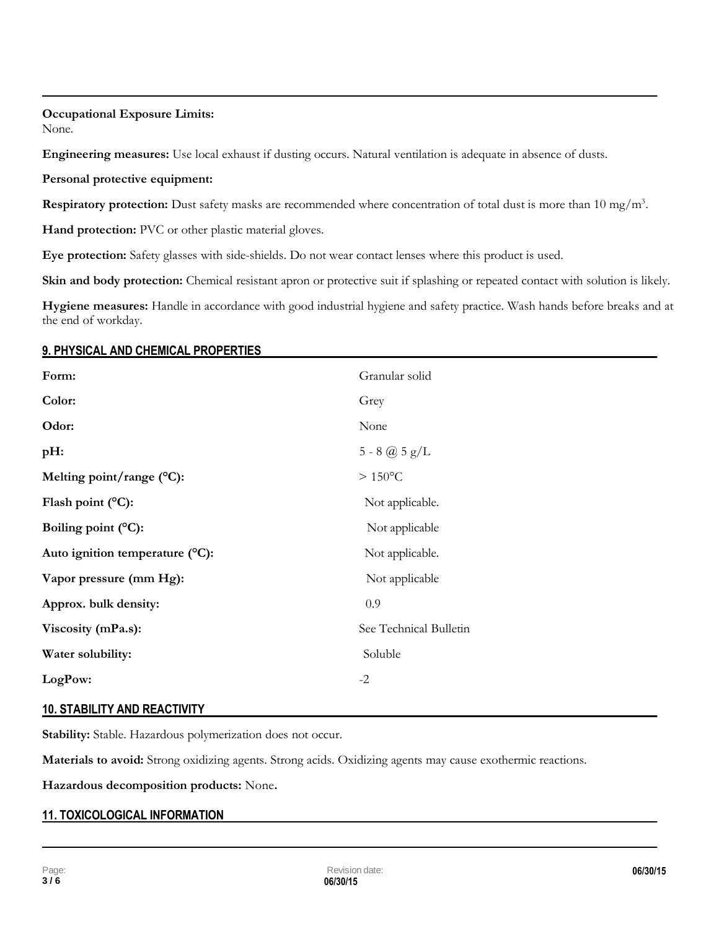### **Occupational Exposure Limits:** None.

**Engineering measures:** Use local exhaust if dusting occurs. Natural ventilation is adequate in absence of dusts.

## **Personal protective equipment:**

Respiratory protection: Dust safety masks are recommended where concentration of total dust is more than 10 mg/m<sup>3</sup>.

**Hand protection:** PVC or other plastic material gloves.

**Eye protection:** Safety glasses with side-shields. Do not wear contact lenses where this product is used.

**Skin and body protection:** Chemical resistant apron or protective suit if splashing or repeated contact with solution is likely.

**Hygiene measures:** Handle in accordance with good industrial hygiene and safety practice. Wash hands before breaks and at the end of workday.

## **9. PHYSICAL AND CHEMICAL PROPERTIES**

| Form:                           | Granular solid         |
|---------------------------------|------------------------|
| Color:                          | Grey                   |
| Odor:                           | None                   |
| pH:                             | $5 - 8$ @ $5$ $g/L$    |
| Melting point/range (°C):       | $>150^{\circ}$ C       |
| Flash point $(^{\circ}C)$ :     | Not applicable.        |
| Boiling point (°C):             | Not applicable         |
| Auto ignition temperature (°C): | Not applicable.        |
| Vapor pressure (mm Hg):         | Not applicable         |
| Approx. bulk density:           | 0.9                    |
| Viscosity (mPa.s):              | See Technical Bulletin |
| Water solubility:               | Soluble                |
| LogPow:                         | $-2$                   |

## **10. STABILITY AND REACTIVITY**

**Stability:** Stable. Hazardous polymerization does not occur.

**Materials to avoid:** Strong oxidizing agents. Strong acids. Oxidizing agents may cause exothermic reactions.

**Hazardous decomposition products:** None**.**

## **11. TOXICOLOGICAL INFORMATION**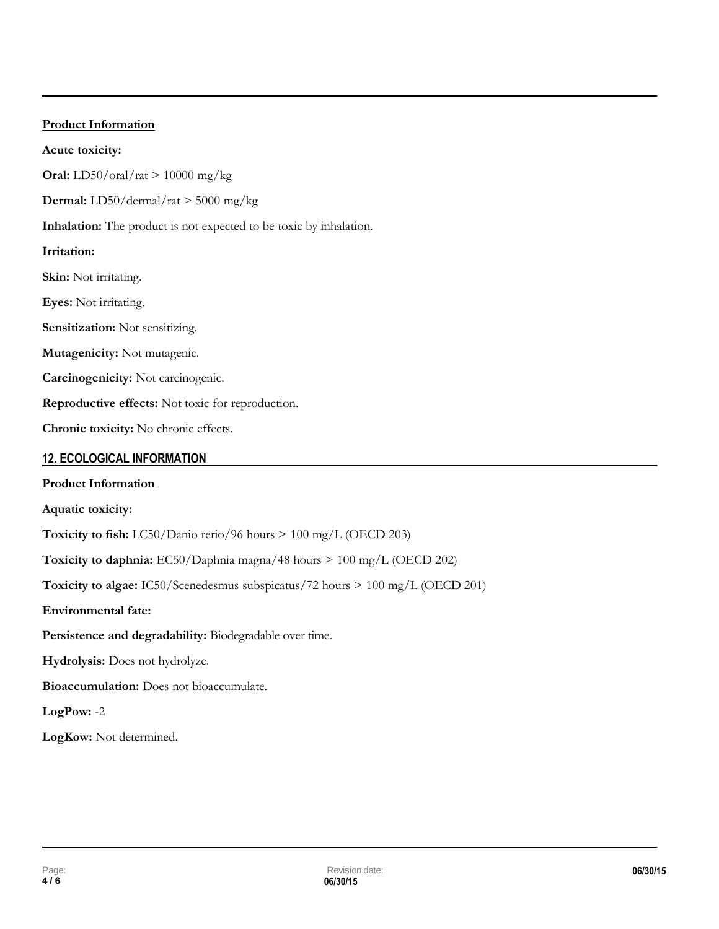# **Product Information Acute toxicity: Oral:** LD50/oral/rat > 10000 mg/kg **Dermal:** LD50/dermal/rat > 5000 mg/kg **Inhalation:** The product is not expected to be toxic by inhalation. **Irritation: Skin:** Not irritating. **Eyes:** Not irritating. **Sensitization:** Not sensitizing. **Mutagenicity:** Not mutagenic. **Carcinogenicity:** Not carcinogenic. **Reproductive effects:** Not toxic for reproduction. **Chronic toxicity:** No chronic effects.

## **12. ECOLOGICAL INFORMATION**

## **Product Information Aquatic toxicity: Toxicity to fish:** LC50/Danio rerio/96 hours > 100 mg/L (OECD 203) **Toxicity to daphnia:** EC50/Daphnia magna/48 hours > 100 mg/L (OECD 202) **Toxicity to algae:** IC50/Scenedesmus subspicatus/72 hours > 100 mg/L (OECD 201) **Environmental fate: Persistence and degradability:** Biodegradable over time. **Hydrolysis:** Does not hydrolyze. **Bioaccumulation:** Does not bioaccumulate. **LogPow:** -2 **LogKow:** Not determined.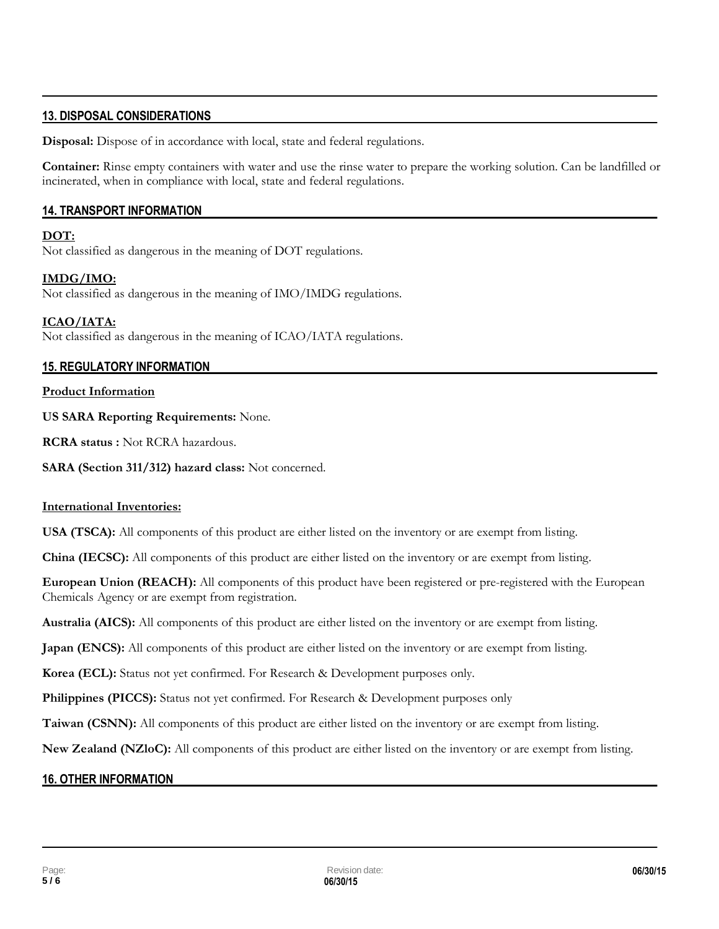## **13. DISPOSAL CONSIDERATIONS**

**Disposal:** Dispose of in accordance with local, state and federal regulations.

**Container:** Rinse empty containers with water and use the rinse water to prepare the working solution. Can be landfilled or incinerated, when in compliance with local, state and federal regulations.

### **14. TRANSPORT INFORMATION**

### **DOT:**

Not classified as dangerous in the meaning of DOT regulations.

### **IMDG/IMO:**

Not classified as dangerous in the meaning of IMO/IMDG regulations.

### **ICAO/IATA:**

Not classified as dangerous in the meaning of ICAO/IATA regulations.

### **15. REGULATORY INFORMATION**

#### **Product Information**

### **US SARA Reporting Requirements:** None.

**RCRA status :** Not RCRA hazardous.

**SARA (Section 311/312) hazard class:** Not concerned.

#### **International Inventories:**

**USA (TSCA):** All components of this product are either listed on the inventory or are exempt from listing.

**China (IECSC):** All components of this product are either listed on the inventory or are exempt from listing.

**European Union (REACH):** All components of this product have been registered or pre-registered with the European Chemicals Agency or are exempt from registration.

**Australia (AICS):** All components of this product are either listed on the inventory or are exempt from listing.

**Japan (ENCS):** All components of this product are either listed on the inventory or are exempt from listing.

**Korea (ECL):** Status not yet confirmed. For Research & Development purposes only.

**Philippines (PICCS):** Status not yet confirmed. For Research & Development purposes only

**Taiwan (CSNN):** All components of this product are either listed on the inventory or are exempt from listing.

**New Zealand (NZloC):** All components of this product are either listed on the inventory or are exempt from listing.

## **16. OTHER INFORMATION**